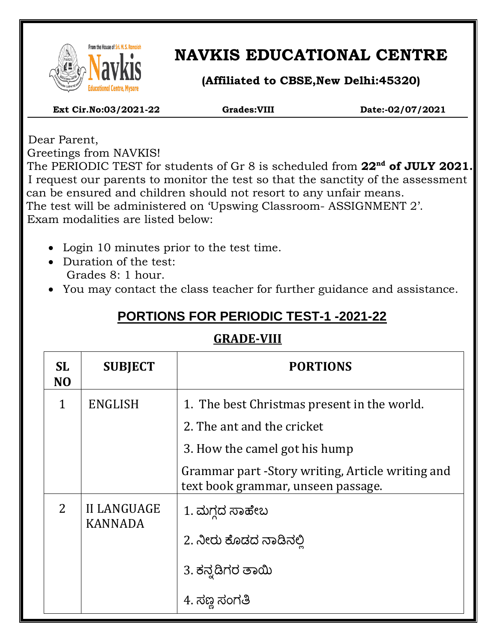

 $\overline{\phantom{a}}$ 

# **NAVKIS EDUCATIONAL CENTRE**

**(Affiliated to CBSE,New Delhi:45320)**

 **Ext Cir.No:03/2021-22 Grades:VIII Date:-02/07/2021**

 Dear Parent, Greetings from NAVKIS!

 The PERIODIC TEST for students of Gr 8 is scheduled from **22nd of JULY 2021.** I request our parents to monitor the test so that the sanctity of the assessment can be ensured and children should not resort to any unfair means. The test will be administered on 'Upswing Classroom- ASSIGNMENT 2'. Exam modalities are listed below:

- Login 10 minutes prior to the test time.
- Duration of the test: Grades 8: 1 hour.
- You may contact the class teacher for further guidance and assistance.

## **PORTIONS FOR PERIODIC TEST-1 -2021-22**

### **GRADE-VIII**

| <b>SL</b><br>N <sub>O</sub>                            | <b>SUBJECT</b> | <b>PORTIONS</b>                                                                        |  |
|--------------------------------------------------------|----------------|----------------------------------------------------------------------------------------|--|
| $\mathbf{1}$                                           | ENGLISH        | 1. The best Christmas present in the world.                                            |  |
|                                                        |                | 2. The ant and the cricket                                                             |  |
|                                                        |                | 3. How the camel got his hump                                                          |  |
|                                                        |                | Grammar part -Story writing, Article writing and<br>text book grammar, unseen passage. |  |
| $\overline{2}$<br><b>II LANGUAGE</b><br><b>KANNADA</b> |                | 1. ಮಗ್ಗದ ಸಾಹೇಬ                                                                         |  |
|                                                        |                | 2. ನೀರು ಕೊಡದ ನಾಡಿನಲಿ                                                                   |  |
|                                                        |                | 3. ಕನ್ನಡಿಗರ ತಾಯಿ                                                                       |  |
|                                                        |                | 4. ಸಣ್ಣ ಸಂಗತಿ                                                                          |  |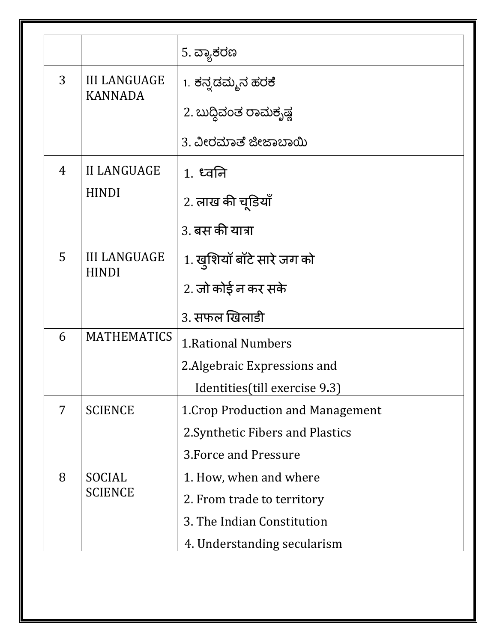|   |                                       | 5. ವ್ಯಾಕರಣ                        |  |
|---|---------------------------------------|-----------------------------------|--|
| 3 | <b>III LANGUAGE</b><br><b>KANNADA</b> | 1. ಕನ್ನಡಮ್ಮನ ಹರಕೆ                 |  |
|   |                                       | 2. ಬುದ್ಧಿವಂತ ರಾಮಕೃಷ್ಣ             |  |
|   |                                       | 3. ವೀರಮಾತೆ ಜೀಜಾಬಾಯಿ               |  |
| 4 | <b>II LANGUAGE</b><br><b>HINDI</b>    | $1.$ ध्वनि                        |  |
|   |                                       | 2. लाख की चूडियाँ                 |  |
|   |                                       | 3. बस की यात्रा                   |  |
| 5 | <b>III LANGUAGE</b><br><b>HINDI</b>   | 1. खुशियाँ बाँटे सारे जग को       |  |
|   |                                       | 2. जो कोई न कर सके                |  |
|   |                                       | 3. सफल खिलाडी                     |  |
| 6 | <b>MATHEMATICS</b>                    | <b>1. Rational Numbers</b>        |  |
|   |                                       | 2. Algebraic Expressions and      |  |
|   |                                       | Identities (till exercise 9.3)    |  |
| 7 | <b>SCIENCE</b>                        | 1. Crop Production and Management |  |
|   |                                       | 2. Synthetic Fibers and Plastics  |  |
|   |                                       | 3. Force and Pressure             |  |
| 8 | SOCIAL<br><b>SCIENCE</b>              | 1. How, when and where            |  |
|   |                                       | 2. From trade to territory        |  |
|   |                                       | 3. The Indian Constitution        |  |
|   |                                       | 4. Understanding secularism       |  |